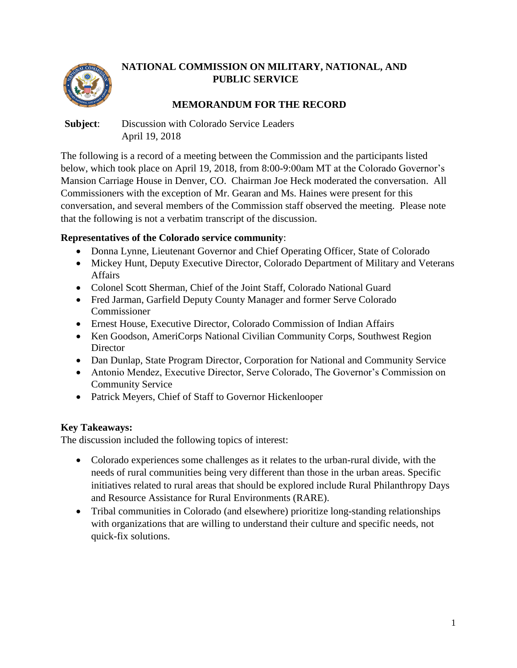

## **NATIONAL COMMISSION ON MILITARY, NATIONAL, AND PUBLIC SERVICE**

# **MEMORANDUM FOR THE RECORD**

**Subject**: Discussion with Colorado Service Leaders April 19, 2018

The following is a record of a meeting between the Commission and the participants listed below, which took place on April 19, 2018, from 8:00-9:00am MT at the Colorado Governor's Mansion Carriage House in Denver, CO. Chairman Joe Heck moderated the conversation. All Commissioners with the exception of Mr. Gearan and Ms. Haines were present for this conversation, and several members of the Commission staff observed the meeting. Please note that the following is not a verbatim transcript of the discussion.

### **Representatives of the Colorado service community**:

- Donna Lynne, Lieutenant Governor and Chief Operating Officer, State of Colorado
- Mickey Hunt, Deputy Executive Director, Colorado Department of Military and Veterans Affairs
- Colonel Scott Sherman, Chief of the Joint Staff, Colorado National Guard
- Fred Jarman, Garfield Deputy County Manager and former Serve Colorado Commissioner
- Ernest House, Executive Director, Colorado Commission of Indian Affairs
- Ken Goodson, AmeriCorps National Civilian Community Corps, Southwest Region **Director**
- Dan Dunlap, State Program Director, Corporation for National and Community Service
- Antonio Mendez, Executive Director, Serve Colorado, The Governor's Commission on Community Service
- Patrick Meyers, Chief of Staff to Governor Hickenlooper

## **Key Takeaways:**

The discussion included the following topics of interest:

- Colorado experiences some challenges as it relates to the urban-rural divide, with the needs of rural communities being very different than those in the urban areas. Specific initiatives related to rural areas that should be explored include Rural Philanthropy Days and Resource Assistance for Rural Environments (RARE).
- Tribal communities in Colorado (and elsewhere) prioritize long-standing relationships with organizations that are willing to understand their culture and specific needs, not quick-fix solutions.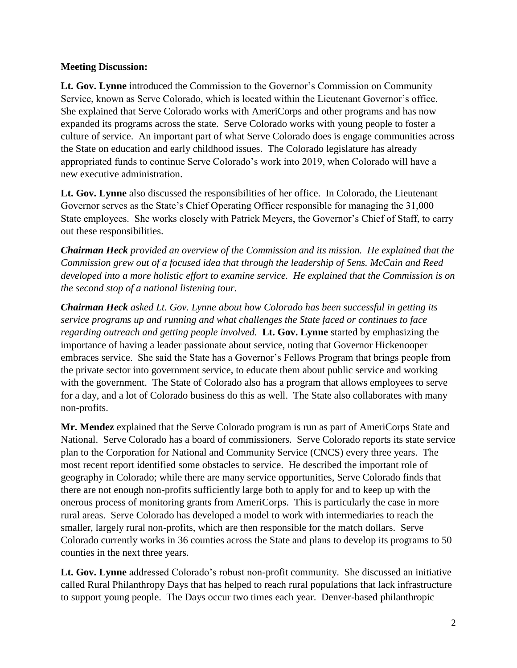#### **Meeting Discussion:**

**Lt. Gov. Lynne** introduced the Commission to the Governor's Commission on Community Service, known as Serve Colorado, which is located within the Lieutenant Governor's office. She explained that Serve Colorado works with AmeriCorps and other programs and has now expanded its programs across the state. Serve Colorado works with young people to foster a culture of service. An important part of what Serve Colorado does is engage communities across the State on education and early childhood issues. The Colorado legislature has already appropriated funds to continue Serve Colorado's work into 2019, when Colorado will have a new executive administration.

**Lt. Gov. Lynne** also discussed the responsibilities of her office. In Colorado, the Lieutenant Governor serves as the State's Chief Operating Officer responsible for managing the 31,000 State employees. She works closely with Patrick Meyers, the Governor's Chief of Staff, to carry out these responsibilities.

*Chairman Heck provided an overview of the Commission and its mission. He explained that the Commission grew out of a focused idea that through the leadership of Sens. McCain and Reed developed into a more holistic effort to examine service. He explained that the Commission is on the second stop of a national listening tour.*

*Chairman Heck asked Lt. Gov. Lynne about how Colorado has been successful in getting its service programs up and running and what challenges the State faced or continues to face regarding outreach and getting people involved.* **Lt. Gov. Lynne** started by emphasizing the importance of having a leader passionate about service, noting that Governor Hickenooper embraces service. She said the State has a Governor's Fellows Program that brings people from the private sector into government service, to educate them about public service and working with the government. The State of Colorado also has a program that allows employees to serve for a day, and a lot of Colorado business do this as well. The State also collaborates with many non-profits.

**Mr. Mendez** explained that the Serve Colorado program is run as part of AmeriCorps State and National. Serve Colorado has a board of commissioners. Serve Colorado reports its state service plan to the Corporation for National and Community Service (CNCS) every three years. The most recent report identified some obstacles to service. He described the important role of geography in Colorado; while there are many service opportunities, Serve Colorado finds that there are not enough non-profits sufficiently large both to apply for and to keep up with the onerous process of monitoring grants from AmeriCorps. This is particularly the case in more rural areas. Serve Colorado has developed a model to work with intermediaries to reach the smaller, largely rural non-profits, which are then responsible for the match dollars. Serve Colorado currently works in 36 counties across the State and plans to develop its programs to 50 counties in the next three years.

**Lt. Gov. Lynne** addressed Colorado's robust non-profit community. She discussed an initiative called Rural Philanthropy Days that has helped to reach rural populations that lack infrastructure to support young people. The Days occur two times each year. Denver-based philanthropic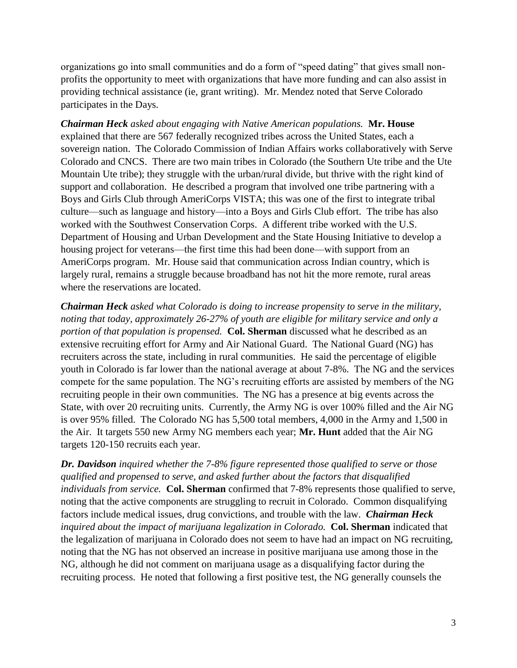organizations go into small communities and do a form of "speed dating" that gives small nonprofits the opportunity to meet with organizations that have more funding and can also assist in providing technical assistance (ie, grant writing). Mr. Mendez noted that Serve Colorado participates in the Days.

*Chairman Heck asked about engaging with Native American populations.* **Mr. House** explained that there are 567 federally recognized tribes across the United States, each a sovereign nation. The Colorado Commission of Indian Affairs works collaboratively with Serve Colorado and CNCS. There are two main tribes in Colorado (the Southern Ute tribe and the Ute Mountain Ute tribe); they struggle with the urban/rural divide, but thrive with the right kind of support and collaboration. He described a program that involved one tribe partnering with a Boys and Girls Club through AmeriCorps VISTA; this was one of the first to integrate tribal culture—such as language and history—into a Boys and Girls Club effort. The tribe has also worked with the Southwest Conservation Corps. A different tribe worked with the U.S. Department of Housing and Urban Development and the State Housing Initiative to develop a housing project for veterans—the first time this had been done—with support from an AmeriCorps program. Mr. House said that communication across Indian country, which is largely rural, remains a struggle because broadband has not hit the more remote, rural areas where the reservations are located.

*Chairman Heck asked what Colorado is doing to increase propensity to serve in the military, noting that today, approximately 26-27% of youth are eligible for military service and only a portion of that population is propensed.* **Col. Sherman** discussed what he described as an extensive recruiting effort for Army and Air National Guard. The National Guard (NG) has recruiters across the state, including in rural communities. He said the percentage of eligible youth in Colorado is far lower than the national average at about 7-8%. The NG and the services compete for the same population. The NG's recruiting efforts are assisted by members of the NG recruiting people in their own communities. The NG has a presence at big events across the State, with over 20 recruiting units. Currently, the Army NG is over 100% filled and the Air NG is over 95% filled. The Colorado NG has 5,500 total members, 4,000 in the Army and 1,500 in the Air. It targets 550 new Army NG members each year; **Mr. Hunt** added that the Air NG targets 120-150 recruits each year.

*Dr. Davidson inquired whether the 7-8% figure represented those qualified to serve or those qualified and propensed to serve, and asked further about the factors that disqualified individuals from service.* **Col. Sherman** confirmed that 7-8% represents those qualified to serve, noting that the active components are struggling to recruit in Colorado. Common disqualifying factors include medical issues, drug convictions, and trouble with the law. *Chairman Heck inquired about the impact of marijuana legalization in Colorado.* **Col. Sherman** indicated that the legalization of marijuana in Colorado does not seem to have had an impact on NG recruiting, noting that the NG has not observed an increase in positive marijuana use among those in the NG, although he did not comment on marijuana usage as a disqualifying factor during the recruiting process. He noted that following a first positive test, the NG generally counsels the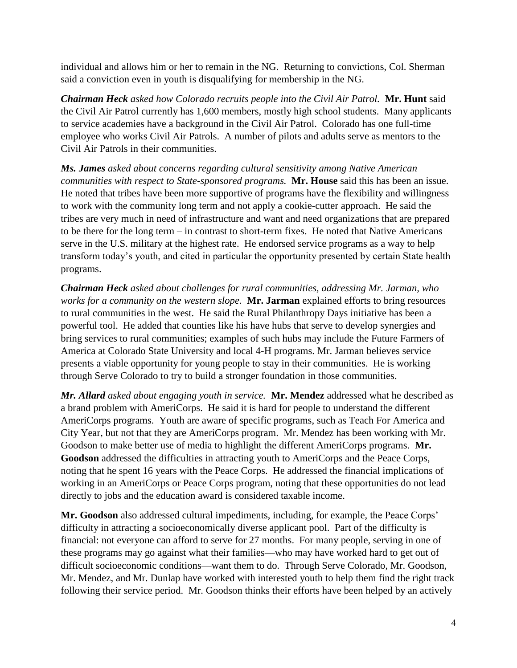individual and allows him or her to remain in the NG. Returning to convictions, Col. Sherman said a conviction even in youth is disqualifying for membership in the NG.

*Chairman Heck asked how Colorado recruits people into the Civil Air Patrol.* **Mr. Hunt** said the Civil Air Patrol currently has 1,600 members, mostly high school students. Many applicants to service academies have a background in the Civil Air Patrol. Colorado has one full-time employee who works Civil Air Patrols. A number of pilots and adults serve as mentors to the Civil Air Patrols in their communities.

*Ms. James asked about concerns regarding cultural sensitivity among Native American communities with respect to State-sponsored programs.* **Mr. House** said this has been an issue. He noted that tribes have been more supportive of programs have the flexibility and willingness to work with the community long term and not apply a cookie-cutter approach. He said the tribes are very much in need of infrastructure and want and need organizations that are prepared to be there for the long term – in contrast to short-term fixes. He noted that Native Americans serve in the U.S. military at the highest rate. He endorsed service programs as a way to help transform today's youth, and cited in particular the opportunity presented by certain State health programs.

*Chairman Heck asked about challenges for rural communities, addressing Mr. Jarman, who works for a community on the western slope.* **Mr. Jarman** explained efforts to bring resources to rural communities in the west. He said the Rural Philanthropy Days initiative has been a powerful tool. He added that counties like his have hubs that serve to develop synergies and bring services to rural communities; examples of such hubs may include the Future Farmers of America at Colorado State University and local 4-H programs. Mr. Jarman believes service presents a viable opportunity for young people to stay in their communities. He is working through Serve Colorado to try to build a stronger foundation in those communities.

*Mr. Allard asked about engaging youth in service.* **Mr. Mendez** addressed what he described as a brand problem with AmeriCorps. He said it is hard for people to understand the different AmeriCorps programs. Youth are aware of specific programs, such as Teach For America and City Year, but not that they are AmeriCorps program. Mr. Mendez has been working with Mr. Goodson to make better use of media to highlight the different AmeriCorps programs. **Mr. Goodson** addressed the difficulties in attracting youth to AmeriCorps and the Peace Corps, noting that he spent 16 years with the Peace Corps. He addressed the financial implications of working in an AmeriCorps or Peace Corps program, noting that these opportunities do not lead directly to jobs and the education award is considered taxable income.

**Mr. Goodson** also addressed cultural impediments, including, for example, the Peace Corps' difficulty in attracting a socioeconomically diverse applicant pool. Part of the difficulty is financial: not everyone can afford to serve for 27 months. For many people, serving in one of these programs may go against what their families—who may have worked hard to get out of difficult socioeconomic conditions—want them to do. Through Serve Colorado, Mr. Goodson, Mr. Mendez, and Mr. Dunlap have worked with interested youth to help them find the right track following their service period. Mr. Goodson thinks their efforts have been helped by an actively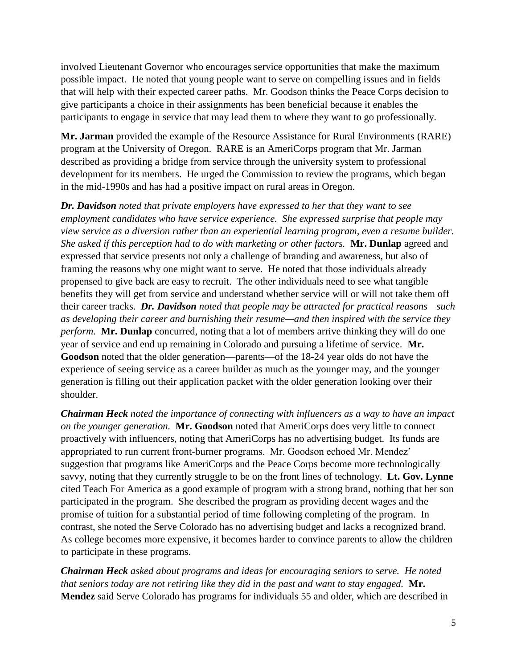involved Lieutenant Governor who encourages service opportunities that make the maximum possible impact. He noted that young people want to serve on compelling issues and in fields that will help with their expected career paths. Mr. Goodson thinks the Peace Corps decision to give participants a choice in their assignments has been beneficial because it enables the participants to engage in service that may lead them to where they want to go professionally.

**Mr. Jarman** provided the example of the Resource Assistance for Rural Environments (RARE) program at the University of Oregon. RARE is an AmeriCorps program that Mr. Jarman described as providing a bridge from service through the university system to professional development for its members. He urged the Commission to review the programs, which began in the mid-1990s and has had a positive impact on rural areas in Oregon.

*Dr. Davidson noted that private employers have expressed to her that they want to see employment candidates who have service experience. She expressed surprise that people may view service as a diversion rather than an experiential learning program, even a resume builder. She asked if this perception had to do with marketing or other factors.* **Mr. Dunlap** agreed and expressed that service presents not only a challenge of branding and awareness, but also of framing the reasons why one might want to serve. He noted that those individuals already propensed to give back are easy to recruit. The other individuals need to see what tangible benefits they will get from service and understand whether service will or will not take them off their career tracks. *Dr. Davidson noted that people may be attracted for practical reasons—such as developing their career and burnishing their resume—and then inspired with the service they perform.* **Mr. Dunlap** concurred, noting that a lot of members arrive thinking they will do one year of service and end up remaining in Colorado and pursuing a lifetime of service. **Mr. Goodson** noted that the older generation—parents—of the 18-24 year olds do not have the experience of seeing service as a career builder as much as the younger may, and the younger generation is filling out their application packet with the older generation looking over their shoulder.

*Chairman Heck noted the importance of connecting with influencers as a way to have an impact on the younger generation.* **Mr. Goodson** noted that AmeriCorps does very little to connect proactively with influencers, noting that AmeriCorps has no advertising budget. Its funds are appropriated to run current front-burner programs. Mr. Goodson echoed Mr. Mendez' suggestion that programs like AmeriCorps and the Peace Corps become more technologically savvy, noting that they currently struggle to be on the front lines of technology. **Lt. Gov. Lynne** cited Teach For America as a good example of program with a strong brand, nothing that her son participated in the program. She described the program as providing decent wages and the promise of tuition for a substantial period of time following completing of the program. In contrast, she noted the Serve Colorado has no advertising budget and lacks a recognized brand. As college becomes more expensive, it becomes harder to convince parents to allow the children to participate in these programs.

*Chairman Heck asked about programs and ideas for encouraging seniors to serve. He noted that seniors today are not retiring like they did in the past and want to stay engaged.* **Mr. Mendez** said Serve Colorado has programs for individuals 55 and older, which are described in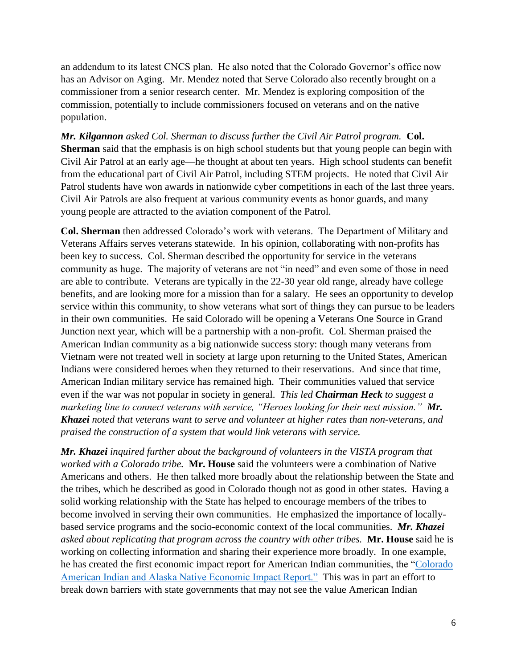an addendum to its latest CNCS plan. He also noted that the Colorado Governor's office now has an Advisor on Aging. Mr. Mendez noted that Serve Colorado also recently brought on a commissioner from a senior research center. Mr. Mendez is exploring composition of the commission, potentially to include commissioners focused on veterans and on the native population.

*Mr. Kilgannon asked Col. Sherman to discuss further the Civil Air Patrol program.* **Col. Sherman** said that the emphasis is on high school students but that young people can begin with Civil Air Patrol at an early age—he thought at about ten years. High school students can benefit from the educational part of Civil Air Patrol, including STEM projects. He noted that Civil Air Patrol students have won awards in nationwide cyber competitions in each of the last three years. Civil Air Patrols are also frequent at various community events as honor guards, and many young people are attracted to the aviation component of the Patrol.

**Col. Sherman** then addressed Colorado's work with veterans. The Department of Military and Veterans Affairs serves veterans statewide. In his opinion, collaborating with non-profits has been key to success. Col. Sherman described the opportunity for service in the veterans community as huge. The majority of veterans are not "in need" and even some of those in need are able to contribute. Veterans are typically in the 22-30 year old range, already have college benefits, and are looking more for a mission than for a salary. He sees an opportunity to develop service within this community, to show veterans what sort of things they can pursue to be leaders in their own communities. He said Colorado will be opening a Veterans One Source in Grand Junction next year, which will be a partnership with a non-profit. Col. Sherman praised the American Indian community as a big nationwide success story: though many veterans from Vietnam were not treated well in society at large upon returning to the United States, American Indians were considered heroes when they returned to their reservations. And since that time, American Indian military service has remained high. Their communities valued that service even if the war was not popular in society in general. *This led Chairman Heck to suggest a marketing line to connect veterans with service, "Heroes looking for their next mission." Mr. Khazei noted that veterans want to serve and volunteer at higher rates than non-veterans, and praised the construction of a system that would link veterans with service.*

*Mr. Khazei inquired further about the background of volunteers in the VISTA program that worked with a Colorado tribe.* **Mr. House** said the volunteers were a combination of Native Americans and others. He then talked more broadly about the relationship between the State and the tribes, which he described as good in Colorado though not as good in other states. Having a solid working relationship with the State has helped to encourage members of the tribes to become involved in serving their own communities. He emphasized the importance of locallybased service programs and the socio-economic context of the local communities. *Mr. Khazei asked about replicating that program across the country with other tribes.* **Mr. House** said he is working on collecting information and sharing their experience more broadly. In one example, he has created the first economic impact report for American Indian communities, the ["Colorado](https://www.colorado.gov/pacific/ccia/economic-development-2)  [American Indian and Alaska Native Economic Impact Report."](https://www.colorado.gov/pacific/ccia/economic-development-2) This was in part an effort to break down barriers with state governments that may not see the value American Indian